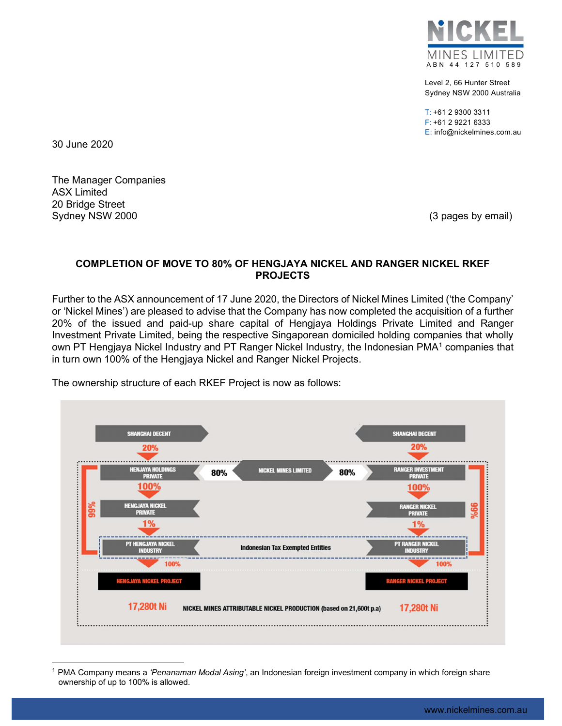

Level 2, 66 Hunter Street Sydney NSW 2000 Australia

T: +61 2 9300 3311 F: +61 2 9221 6333 E: info@nickelmines.com.au

30 June 2020

The Manager Companies ASX Limited 20 Bridge Street Sydney NSW 2000 **(3 pages by email)** Sydney NSW 2000

## COMPLETION OF MOVE TO 80% OF HENGJAYA NICKEL AND RANGER NICKEL RKEF PROJECTS

Further to the ASX announcement of 17 June 2020, the Directors of Nickel Mines Limited ('the Company' or 'Nickel Mines') are pleased to advise that the Company has now completed the acquisition of a further 20% of the issued and paid-up share capital of Hengjaya Holdings Private Limited and Ranger Investment Private Limited, being the respective Singaporean domiciled holding companies that wholly own PT Hengjaya Nickel Industry and PT Ranger Nickel Industry, the Indonesian PMA<sup>1</sup> companies that in turn own 100% of the Hengjaya Nickel and Ranger Nickel Projects.



The ownership structure of each RKEF Project is now as follows:

<sup>1</sup> PMA Company means a 'Penanaman Modal Asing', an Indonesian foreign investment company in which foreign share ownership of up to 100% is allowed.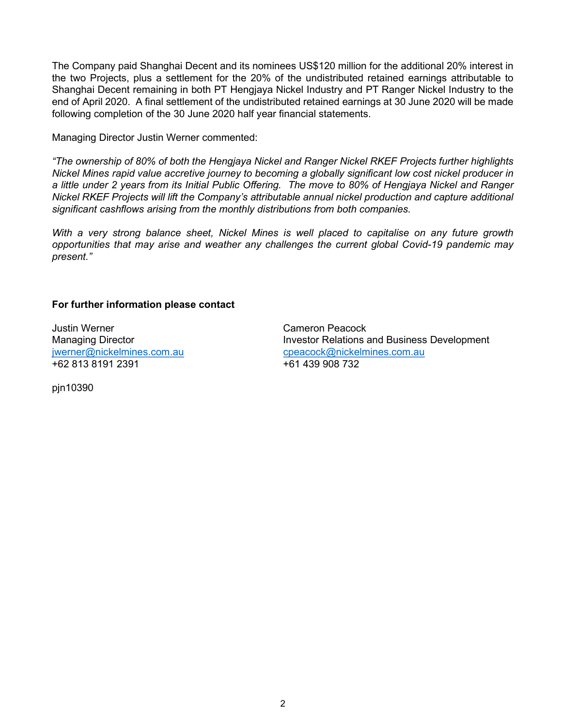The Company paid Shanghai Decent and its nominees US\$120 million for the additional 20% interest in the two Projects, plus a settlement for the 20% of the undistributed retained earnings attributable to Shanghai Decent remaining in both PT Hengjaya Nickel Industry and PT Ranger Nickel Industry to the end of April 2020. A final settlement of the undistributed retained earnings at 30 June 2020 will be made following completion of the 30 June 2020 half year financial statements.

Managing Director Justin Werner commented:

"The ownership of 80% of both the Hengjaya Nickel and Ranger Nickel RKEF Projects further highlights Nickel Mines rapid value accretive journey to becoming a globally significant low cost nickel producer in a little under 2 years from its Initial Public Offering. The move to 80% of Hengjaya Nickel and Ranger Nickel RKEF Projects will lift the Company's attributable annual nickel production and capture additional significant cashflows arising from the monthly distributions from both companies.

With a very strong balance sheet, Nickel Mines is well placed to capitalise on any future growth opportunities that may arise and weather any challenges the current global Covid-19 pandemic may present."

## For further information please contact

Justin Werner Cameron Peacock +62 813 8191 2391 +61 439 908 732

Managing Director **Investor Relations and Business Development** jwerner@nickelmines.com.au cpeacock@nickelmines.com.au

pjn10390